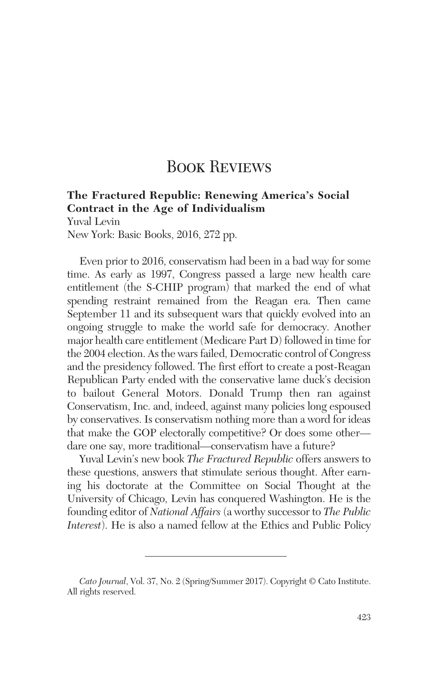## **BOOK REVIEWS**

## **The Fractured Republic: Renewing America's Social Contract in the Age of Individualism**

Yuval Levin New York: Basic Books, 2016, 272 pp.

Even prior to 2016, conservatism had been in a bad way for some time. As early as 1997, Congress passed a large new health care entitlement (the S-CHIP program) that marked the end of what spending restraint remained from the Reagan era. Then came September 11 and its subsequent wars that quickly evolved into an ongoing struggle to make the world safe for democracy. Another major health care entitlement (Medicare Part D) followed in time for the 2004 election. As the wars failed, Democratic control of Congress and the presidency followed. The first effort to create a post-Reagan Republican Party ended with the conservative lame duck's decision to bailout General Motors. Donald Trump then ran against Conservatism, Inc. and, indeed, against many policies long espoused by conservatives. Is conservatism nothing more than a word for ideas that make the GOP electorally competitive? Or does some other dare one say, more traditional—conservatism have a future?

Yuval Levin's new book *The Fractured Republic* offers answers to these questions, answers that stimulate serious thought. After earning his doctorate at the Committee on Social Thought at the University of Chicago, Levin has conquered Washington. He is the founding editor of *National Affairs* (a worthy successor to *The Public Interest*). He is also a named fellow at the Ethics and Public Policy

*Cato Journal*, Vol. 37, No. 2 (Spring/Summer 2017). Copyright © Cato Institute. All rights reserved.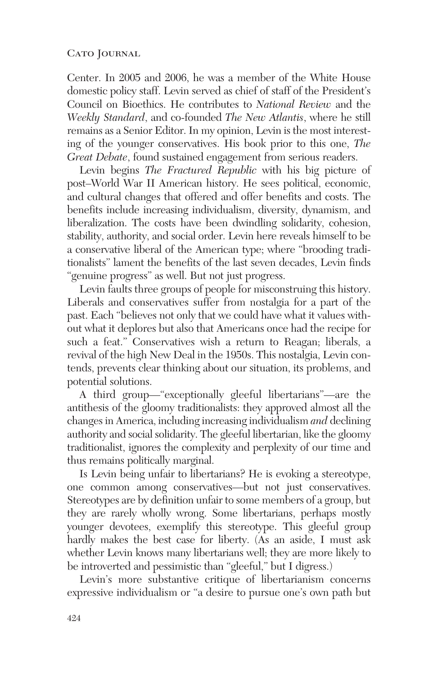## CATO JOURNAL

Center. In 2005 and 2006, he was a member of the White House domestic policy staff. Levin served as chief of staff of the President's Council on Bioethics. He contributes to *National Review* and the *Weekly Standard*, and co-founded *The New Atlantis*, where he still remains as a Senior Editor. In my opinion, Levin is the most interesting of the younger conservatives. His book prior to this one, *The Great Debate*, found sustained engagement from serious readers.

Levin begins *The Fractured Republic* with his big picture of post–World War II American history. He sees political, economic, and cultural changes that offered and offer benefits and costs. The benefits include increasing individualism, diversity, dynamism, and liberalization. The costs have been dwindling solidarity, cohesion, stability, authority, and social order. Levin here reveals himself to be a conservative liberal of the American type; where "brooding traditionalists" lament the benefits of the last seven decades, Levin finds "genuine progress" as well. But not just progress.

Levin faults three groups of people for misconstruing this history. Liberals and conservatives suffer from nostalgia for a part of the past. Each "believes not only that we could have what it values without what it deplores but also that Americans once had the recipe for such a feat." Conservatives wish a return to Reagan; liberals, a revival of the high New Deal in the 1950s. This nostalgia, Levin contends, prevents clear thinking about our situation, its problems, and potential solutions.

A third group—"exceptionally gleeful libertarians"—are the antithesis of the gloomy traditionalists: they approved almost all the changes in America, including increasing individualism *and* declining authority and social solidarity. The gleeful libertarian, like the gloomy traditionalist, ignores the complexity and perplexity of our time and thus remains politically marginal.

Is Levin being unfair to libertarians? He is evoking a stereotype, one common among conservatives—but not just conservatives. Stereotypes are by definition unfair to some members of a group, but they are rarely wholly wrong. Some libertarians, perhaps mostly younger devotees, exemplify this stereotype. This gleeful group hardly makes the best case for liberty. (As an aside, I must ask whether Levin knows many libertarians well; they are more likely to be introverted and pessimistic than "gleeful," but I digress.)

Levin's more substantive critique of libertarianism concerns expressive individualism or "a desire to pursue one's own path but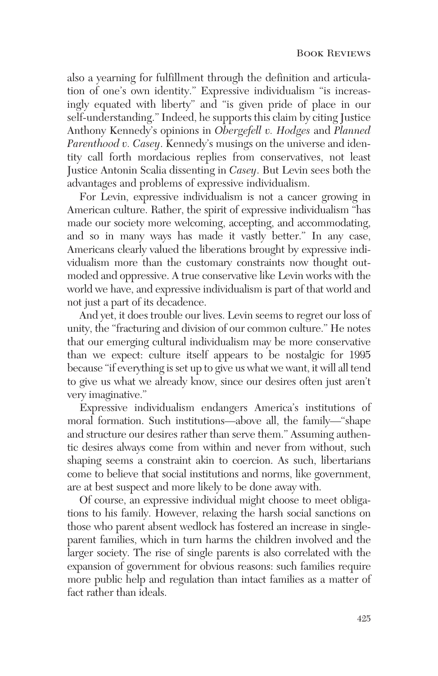also a yearning for fulfillment through the definition and articulation of one's own identity." Expressive individualism "is increasingly equated with liberty" and "is given pride of place in our self-understanding." Indeed, he supports this claim by citing Justice Anthony Kennedy's opinions in *Obergefell v. Hodges* and *Planned Parenthood v. Casey*. Kennedy's musings on the universe and identity call forth mordacious replies from conservatives, not least Justice Antonin Scalia dissenting in *Casey*. But Levin sees both the advantages and problems of expressive individualism.

For Levin, expressive individualism is not a cancer growing in American culture. Rather, the spirit of expressive individualism "has made our society more welcoming, accepting, and accommodating, and so in many ways has made it vastly better." In any case, Americans clearly valued the liberations brought by expressive individualism more than the customary constraints now thought outmoded and oppressive. A true conservative like Levin works with the world we have, and expressive individualism is part of that world and not just a part of its decadence.

And yet, it does trouble our lives. Levin seems to regret our loss of unity, the "fracturing and division of our common culture." He notes that our emerging cultural individualism may be more conservative than we expect: culture itself appears to be nostalgic for 1995 because "if everything is set up to give us what we want, it will all tend to give us what we already know, since our desires often just aren't very imaginative."

Expressive individualism endangers America's institutions of moral formation. Such institutions—above all, the family—"shape and structure our desires rather than serve them." Assuming authentic desires always come from within and never from without, such shaping seems a constraint akin to coercion. As such, libertarians come to believe that social institutions and norms, like government, are at best suspect and more likely to be done away with.

Of course, an expressive individual might choose to meet obligations to his family. However, relaxing the harsh social sanctions on those who parent absent wedlock has fostered an increase in singleparent families, which in turn harms the children involved and the larger society. The rise of single parents is also correlated with the expansion of government for obvious reasons: such families require more public help and regulation than intact families as a matter of fact rather than ideals.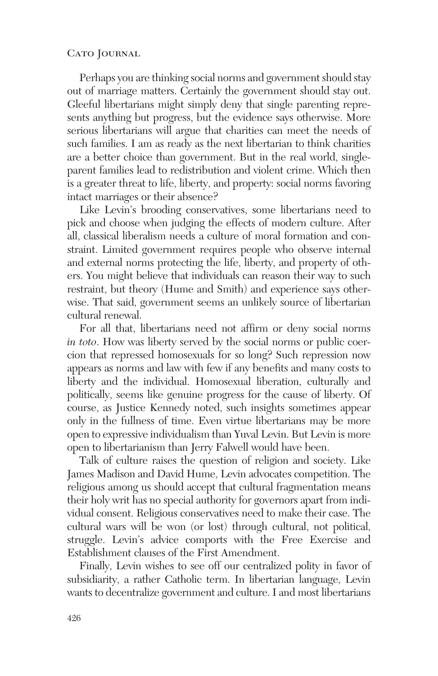## CATO JOURNAL

Perhaps you are thinking social norms and government should stay out of marriage matters. Certainly the government should stay out. Gleeful libertarians might simply deny that single parenting represents anything but progress, but the evidence says otherwise. More serious libertarians will argue that charities can meet the needs of such families. I am as ready as the next libertarian to think charities are a better choice than government. But in the real world, singleparent families lead to redistribution and violent crime. Which then is a greater threat to life, liberty, and property: social norms favoring intact marriages or their absence?

Like Levin's brooding conservatives, some libertarians need to pick and choose when judging the effects of modern culture. After all, classical liberalism needs a culture of moral formation and constraint. Limited government requires people who observe internal and external norms protecting the life, liberty, and property of others. You might believe that individuals can reason their way to such restraint, but theory (Hume and Smith) and experience says otherwise. That said, government seems an unlikely source of libertarian cultural renewal.

For all that, libertarians need not affirm or deny social norms *in toto*. How was liberty served by the social norms or public coercion that repressed homosexuals for so long? Such repression now appears as norms and law with few if any benefits and many costs to liberty and the individual. Homosexual liberation, culturally and politically, seems like genuine progress for the cause of liberty. Of course, as Justice Kennedy noted, such insights sometimes appear only in the fullness of time. Even virtue libertarians may be more open to expressive individualism than Yuval Levin. But Levin is more open to libertarianism than Jerry Falwell would have been.

Talk of culture raises the question of religion and society. Like James Madison and David Hume, Levin advocates competition. The religious among us should accept that cultural fragmentation means their holy writ has no special authority for governors apart from individual consent. Religious conservatives need to make their case. The cultural wars will be won (or lost) through cultural, not political, struggle. Levin's advice comports with the Free Exercise and Establishment clauses of the First Amendment.

Finally, Levin wishes to see off our centralized polity in favor of subsidiarity, a rather Catholic term. In libertarian language, Levin wants to decentralize government and culture. I and most libertarians